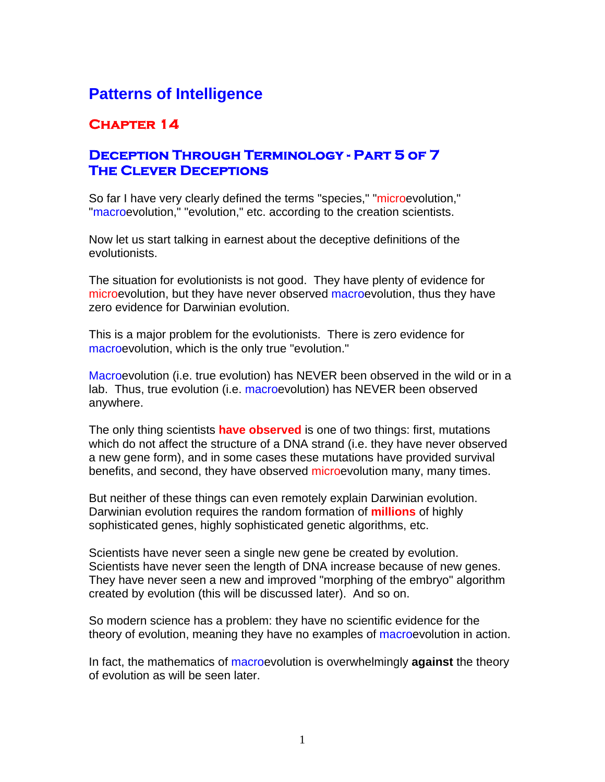# **Patterns of Intelligence**

## **Chapter 14**

### **Deception Through Terminology - Part 5 of 7 The Clever Deceptions**

So far I have very clearly defined the terms "species," "microevolution," "macroevolution," "evolution," etc. according to the creation scientists.

Now let us start talking in earnest about the deceptive definitions of the evolutionists.

The situation for evolutionists is not good. They have plenty of evidence for microevolution, but they have never observed macroevolution, thus they have zero evidence for Darwinian evolution.

This is a major problem for the evolutionists. There is zero evidence for macroevolution, which is the only true "evolution."

Macroevolution (i.e. true evolution) has NEVER been observed in the wild or in a lab. Thus, true evolution (i.e. macroevolution) has NEVER been observed anywhere.

The only thing scientists **have observed** is one of two things: first, mutations which do not affect the structure of a DNA strand (i.e. they have never observed a new gene form), and in some cases these mutations have provided survival benefits, and second, they have observed microevolution many, many times.

But neither of these things can even remotely explain Darwinian evolution. Darwinian evolution requires the random formation of **millions** of highly sophisticated genes, highly sophisticated genetic algorithms, etc.

Scientists have never seen a single new gene be created by evolution. Scientists have never seen the length of DNA increase because of new genes. They have never seen a new and improved "morphing of the embryo" algorithm created by evolution (this will be discussed later). And so on.

So modern science has a problem: they have no scientific evidence for the theory of evolution, meaning they have no examples of macroevolution in action.

In fact, the mathematics of macroevolution is overwhelmingly **against** the theory of evolution as will be seen later.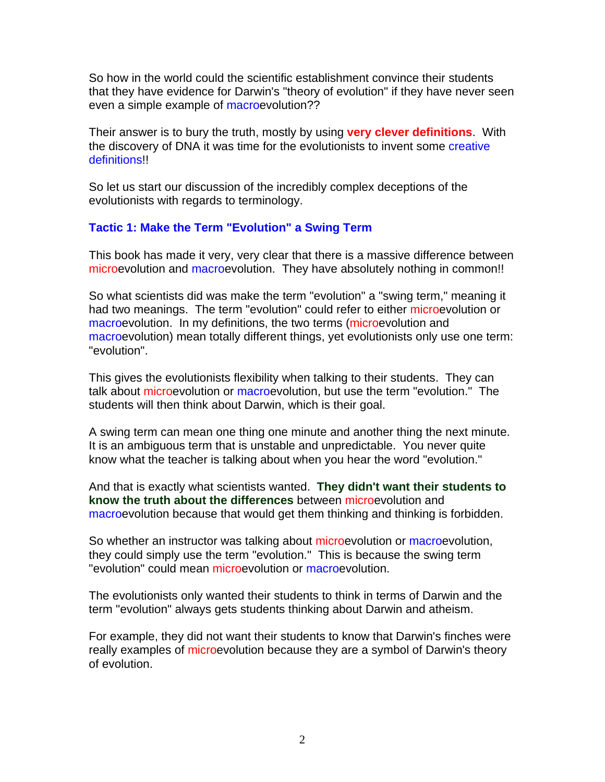So how in the world could the scientific establishment convince their students that they have evidence for Darwin's "theory of evolution" if they have never seen even a simple example of macroevolution??

Their answer is to bury the truth, mostly by using **very clever definitions**. With the discovery of DNA it was time for the evolutionists to invent some creative definitions!!

So let us start our discussion of the incredibly complex deceptions of the evolutionists with regards to terminology.

### **Tactic 1: Make the Term "Evolution" a Swing Term**

This book has made it very, very clear that there is a massive difference between microevolution and macroevolution. They have absolutely nothing in common!!

So what scientists did was make the term "evolution" a "swing term," meaning it had two meanings. The term "evolution" could refer to either microevolution or macroevolution. In my definitions, the two terms (microevolution and macroevolution) mean totally different things, yet evolutionists only use one term: "evolution".

This gives the evolutionists flexibility when talking to their students. They can talk about microevolution or macroevolution, but use the term "evolution." The students will then think about Darwin, which is their goal.

A swing term can mean one thing one minute and another thing the next minute. It is an ambiguous term that is unstable and unpredictable. You never quite know what the teacher is talking about when you hear the word "evolution."

And that is exactly what scientists wanted. **They didn't want their students to know the truth about the differences** between microevolution and macroevolution because that would get them thinking and thinking is forbidden.

So whether an instructor was talking about microevolution or macroevolution, they could simply use the term "evolution." This is because the swing term "evolution" could mean microevolution or macroevolution.

The evolutionists only wanted their students to think in terms of Darwin and the term "evolution" always gets students thinking about Darwin and atheism.

For example, they did not want their students to know that Darwin's finches were really examples of microevolution because they are a symbol of Darwin's theory of evolution.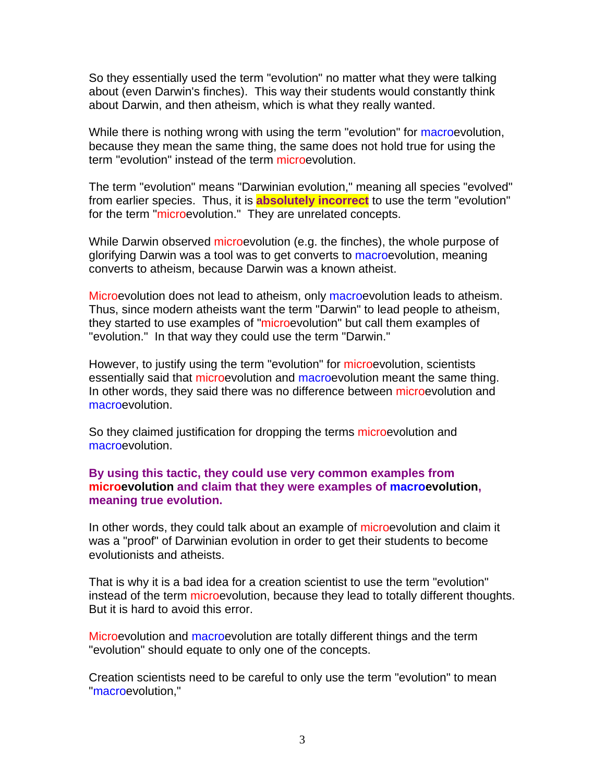So they essentially used the term "evolution" no matter what they were talking about (even Darwin's finches). This way their students would constantly think about Darwin, and then atheism, which is what they really wanted.

While there is nothing wrong with using the term "evolution" for macroevolution, because they mean the same thing, the same does not hold true for using the term "evolution" instead of the term microevolution.

The term "evolution" means "Darwinian evolution," meaning all species "evolved" from earlier species. Thus, it is **absolutely incorrect** to use the term "evolution" for the term "microevolution." They are unrelated concepts.

While Darwin observed microevolution (e.g. the finches), the whole purpose of glorifying Darwin was a tool was to get converts to macroevolution, meaning converts to atheism, because Darwin was a known atheist.

Microevolution does not lead to atheism, only macroevolution leads to atheism. Thus, since modern atheists want the term "Darwin" to lead people to atheism, they started to use examples of "microevolution" but call them examples of "evolution." In that way they could use the term "Darwin."

However, to justify using the term "evolution" for microevolution, scientists essentially said that microevolution and macroevolution meant the same thing. In other words, they said there was no difference between microevolution and macroevolution.

So they claimed justification for dropping the terms microevolution and macroevolution.

#### **By using this tactic, they could use very common examples from microevolution and claim that they were examples of macroevolution, meaning true evolution.**

In other words, they could talk about an example of microevolution and claim it was a "proof" of Darwinian evolution in order to get their students to become evolutionists and atheists.

That is why it is a bad idea for a creation scientist to use the term "evolution" instead of the term microevolution, because they lead to totally different thoughts. But it is hard to avoid this error.

Microevolution and macroevolution are totally different things and the term "evolution" should equate to only one of the concepts.

Creation scientists need to be careful to only use the term "evolution" to mean "macroevolution,"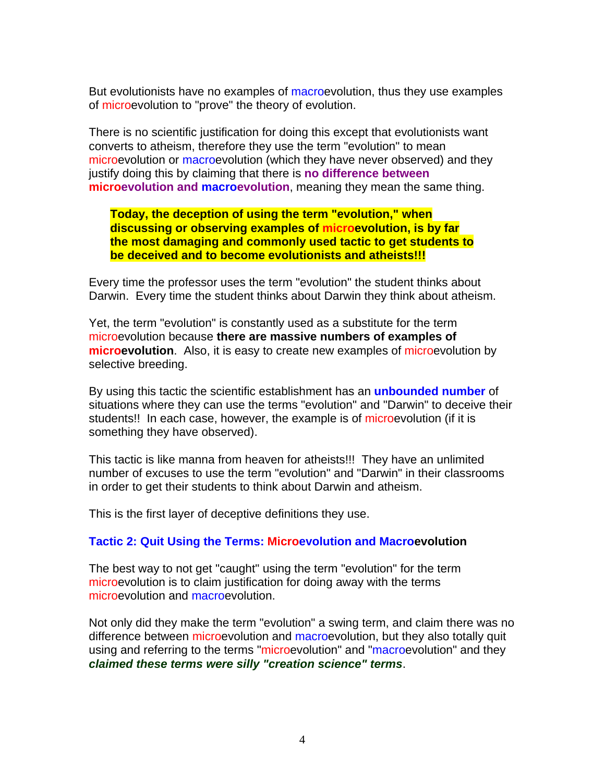But evolutionists have no examples of macroevolution, thus they use examples of microevolution to "prove" the theory of evolution.

There is no scientific justification for doing this except that evolutionists want converts to atheism, therefore they use the term "evolution" to mean microevolution or macroevolution (which they have never observed) and they justify doing this by claiming that there is **no difference between microevolution and macroevolution**, meaning they mean the same thing.

**Today, the deception of using the term "evolution," when discussing or observing examples of microevolution, is by far the most damaging and commonly used tactic to get students to be deceived and to become evolutionists and atheists!!!** 

Every time the professor uses the term "evolution" the student thinks about Darwin. Every time the student thinks about Darwin they think about atheism.

Yet, the term "evolution" is constantly used as a substitute for the term microevolution because **there are massive numbers of examples of microevolution**. Also, it is easy to create new examples of microevolution by selective breeding.

By using this tactic the scientific establishment has an **unbounded number** of situations where they can use the terms "evolution" and "Darwin" to deceive their students!! In each case, however, the example is of microevolution (if it is something they have observed).

This tactic is like manna from heaven for atheists!!! They have an unlimited number of excuses to use the term "evolution" and "Darwin" in their classrooms in order to get their students to think about Darwin and atheism.

This is the first layer of deceptive definitions they use.

#### **Tactic 2: Quit Using the Terms: Microevolution and Macroevolution**

The best way to not get "caught" using the term "evolution" for the term microevolution is to claim justification for doing away with the terms microevolution and macroevolution.

Not only did they make the term "evolution" a swing term, and claim there was no difference between microevolution and macroevolution, but they also totally quit using and referring to the terms "microevolution" and "macroevolution" and they *claimed these terms were silly "creation science" terms*.